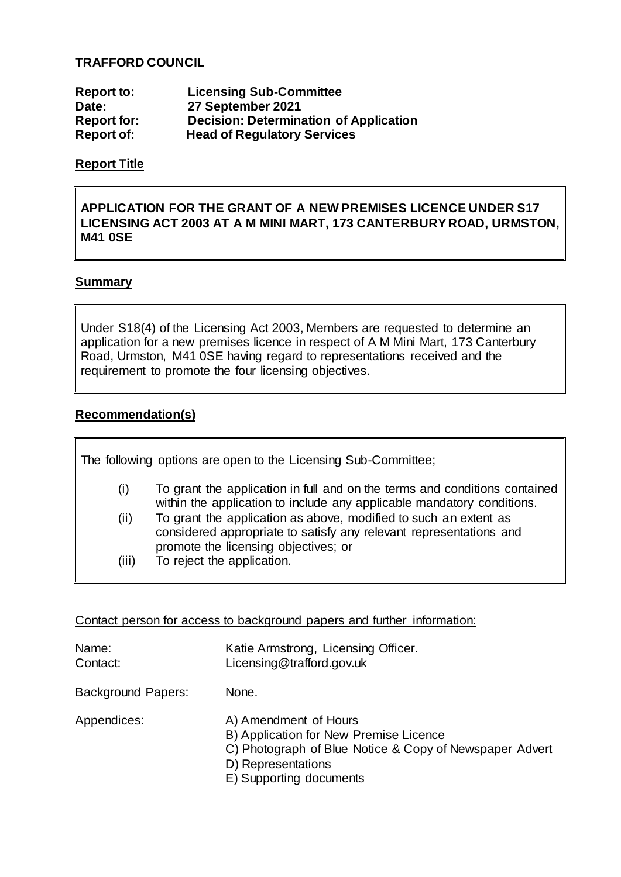## **TRAFFORD COUNCIL**

| <b>Report to:</b>  | <b>Licensing Sub-Committee</b>                |
|--------------------|-----------------------------------------------|
| Date:              | 27 September 2021                             |
| <b>Report for:</b> | <b>Decision: Determination of Application</b> |
| <b>Report of:</b>  | <b>Head of Regulatory Services</b>            |

## **Report Title**

## **APPLICATION FOR THE GRANT OF A NEW PREMISES LICENCE UNDER S17 LICENSING ACT 2003 AT A M MINI MART, 173 CANTERBURY ROAD, URMSTON, M41 0SE**

#### **Summary**

Under S18(4) of the Licensing Act 2003, Members are requested to determine an application for a new premises licence in respect of A M Mini Mart, 173 Canterbury Road, Urmston, M41 0SE having regard to representations received and the requirement to promote the four licensing objectives.

## **Recommendation(s)**

| The following options are open to the Licensing Sub-Committee; |                                                                                                                                                                                |  |
|----------------------------------------------------------------|--------------------------------------------------------------------------------------------------------------------------------------------------------------------------------|--|
| (i)                                                            | To grant the application in full and on the terms and conditions contained<br>within the application to include any applicable mandatory conditions.                           |  |
| (ii)                                                           | To grant the application as above, modified to such an extent as<br>considered appropriate to satisfy any relevant representations and<br>promote the licensing objectives; or |  |
| (iii)                                                          | To reject the application.                                                                                                                                                     |  |

Contact person for access to background papers and further information:

| Name:<br>Contact:         | Katie Armstrong, Licensing Officer.<br>Licensing@trafford.gov.uk                                                                                                            |
|---------------------------|-----------------------------------------------------------------------------------------------------------------------------------------------------------------------------|
| <b>Background Papers:</b> | None.                                                                                                                                                                       |
| Appendices:               | A) Amendment of Hours<br>B) Application for New Premise Licence<br>C) Photograph of Blue Notice & Copy of Newspaper Advert<br>D) Representations<br>E) Supporting documents |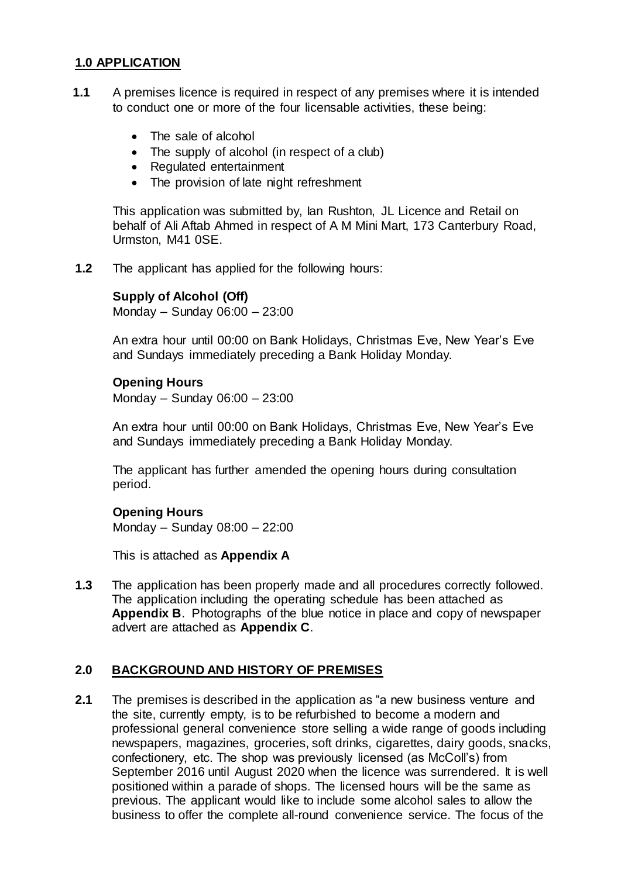## **1.0 APPLICATION**

- **1.1** A premises licence is required in respect of any premises where it is intended to conduct one or more of the four licensable activities, these being:
	- The sale of alcohol
	- The supply of alcohol (in respect of a club)
	- Regulated entertainment
	- The provision of late night refreshment

This application was submitted by, Ian Rushton, JL Licence and Retail on behalf of Ali Aftab Ahmed in respect of A M Mini Mart, 173 Canterbury Road, Urmston, M41 0SE.

**1.2** The applicant has applied for the following hours:

#### **Supply of Alcohol (Off)**

Monday – Sunday 06:00 – 23:00

An extra hour until 00:00 on Bank Holidays, Christmas Eve, New Year's Eve and Sundays immediately preceding a Bank Holiday Monday.

#### **Opening Hours**

Monday – Sunday 06:00 – 23:00

An extra hour until 00:00 on Bank Holidays, Christmas Eve, New Year's Eve and Sundays immediately preceding a Bank Holiday Monday.

The applicant has further amended the opening hours during consultation period.

#### **Opening Hours**

Monday – Sunday 08:00 – 22:00

This is attached as **Appendix A**

**1.3** The application has been properly made and all procedures correctly followed. The application including the operating schedule has been attached as **Appendix B**. Photographs of the blue notice in place and copy of newspaper advert are attached as **Appendix C**.

## **2.0 BACKGROUND AND HISTORY OF PREMISES**

**2.1** The premises is described in the application as "a new business venture and the site, currently empty, is to be refurbished to become a modern and professional general convenience store selling a wide range of goods including newspapers, magazines, groceries, soft drinks, cigarettes, dairy goods, snacks, confectionery, etc. The shop was previously licensed (as McColl's) from September 2016 until August 2020 when the licence was surrendered. It is well positioned within a parade of shops. The licensed hours will be the same as previous. The applicant would like to include some alcohol sales to allow the business to offer the complete all-round convenience service. The focus of the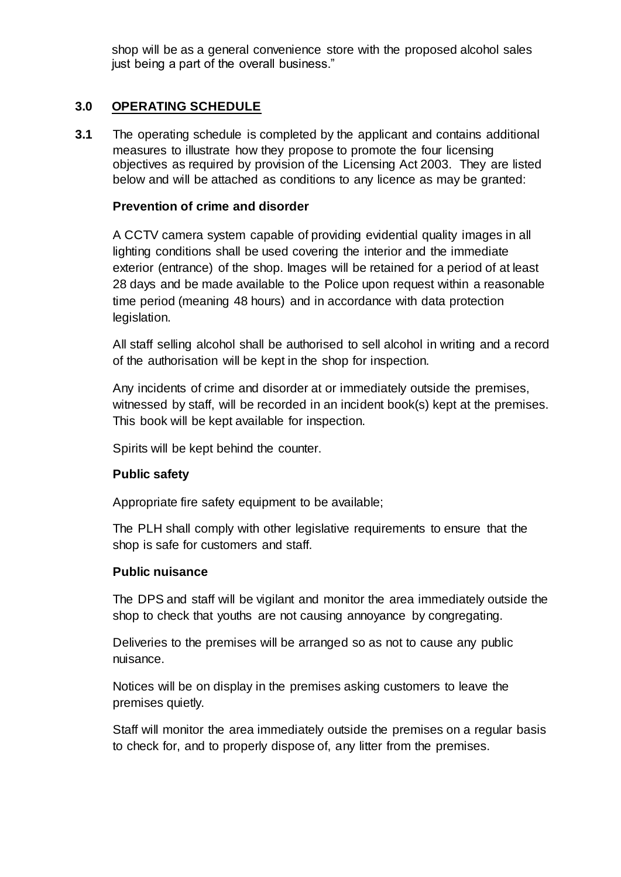shop will be as a general convenience store with the proposed alcohol sales just being a part of the overall business."

## **3.0 OPERATING SCHEDULE**

**3.1** The operating schedule is completed by the applicant and contains additional measures to illustrate how they propose to promote the four licensing objectives as required by provision of the Licensing Act 2003. They are listed below and will be attached as conditions to any licence as may be granted:

## **Prevention of crime and disorder**

A CCTV camera system capable of providing evidential quality images in all lighting conditions shall be used covering the interior and the immediate exterior (entrance) of the shop. Images will be retained for a period of at least 28 days and be made available to the Police upon request within a reasonable time period (meaning 48 hours) and in accordance with data protection legislation.

All staff selling alcohol shall be authorised to sell alcohol in writing and a record of the authorisation will be kept in the shop for inspection.

Any incidents of crime and disorder at or immediately outside the premises, witnessed by staff, will be recorded in an incident book(s) kept at the premises. This book will be kept available for inspection.

Spirits will be kept behind the counter.

#### **Public safety**

Appropriate fire safety equipment to be available;

The PLH shall comply with other legislative requirements to ensure that the shop is safe for customers and staff.

#### **Public nuisance**

The DPS and staff will be vigilant and monitor the area immediately outside the shop to check that youths are not causing annoyance by congregating.

Deliveries to the premises will be arranged so as not to cause any public nuisance.

Notices will be on display in the premises asking customers to leave the premises quietly.

Staff will monitor the area immediately outside the premises on a regular basis to check for, and to properly dispose of, any litter from the premises.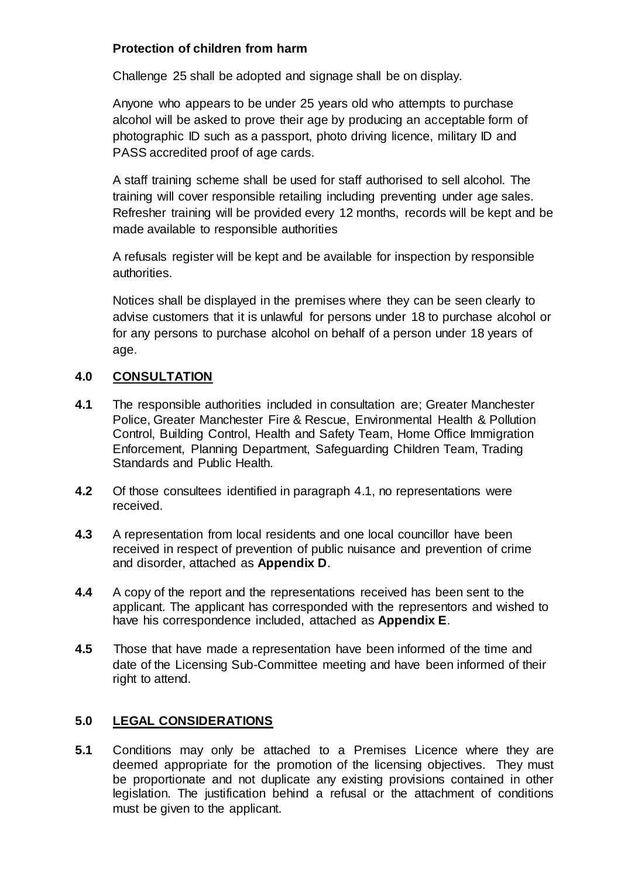# **Protection of children from harm**

Challenge 25 shall be adopted and signage shall be on display.

Anyone who appears to be under 25 years old who attempts to purchase alcohol will be asked to prove their age by producing an acceptable form of photographic ID such as a passport, photo driving licence, military ID and PASS accredited proof of age cards.

A staff training scheme shall be used for staff authorised to sell alcohol. The training will cover responsible retailing including preventing under age sales. Refresher training will be provided every 12 months, records will be kept and be made available to responsible authorities

A refusals register will be kept and be available for inspection by responsible authorities.

Notices shall be displayed in the premises where they can be seen clearly to advise customers that it is unlawful for persons under 18 to purchase alcohol or for any persons to purchase alcohol on behalf of a person under 18 years of age.

# **4.0 CONSULTATION**

- **4.1** The responsible authorities included in consultation are; Greater Manchester Police, Greater Manchester Fire & Rescue, Environmental Health & Pollution Control, Building Control, Health and Safety Team, Home Office Immigration Enforcement, Planning Department, Safeguarding Children Team, Trading Standards and Public Health.
- **4.2** Of those consultees identified in paragraph 4.1, no representations were received.
- **4.3** A representation from local residents and one local councillor have been received in respect of prevention of public nuisance and prevention of crime and disorder, attached as **Appendix D**.
- **4.4** A copy of the report and the representations received has been sent to the applicant. The applicant has corresponded with the representors and wished to have his correspondence included, attached as **Appendix E**.
- **4.5** Those that have made a representation have been informed of the time and date of the Licensing Sub-Committee meeting and have been informed of their right to attend.

# **5.0 LEGAL CONSIDERATIONS**

**5.1** Conditions may only be attached to a Premises Licence where they are deemed appropriate for the promotion of the licensing objectives. They must be proportionate and not duplicate any existing provisions contained in other legislation. The justification behind a refusal or the attachment of conditions must be given to the applicant.